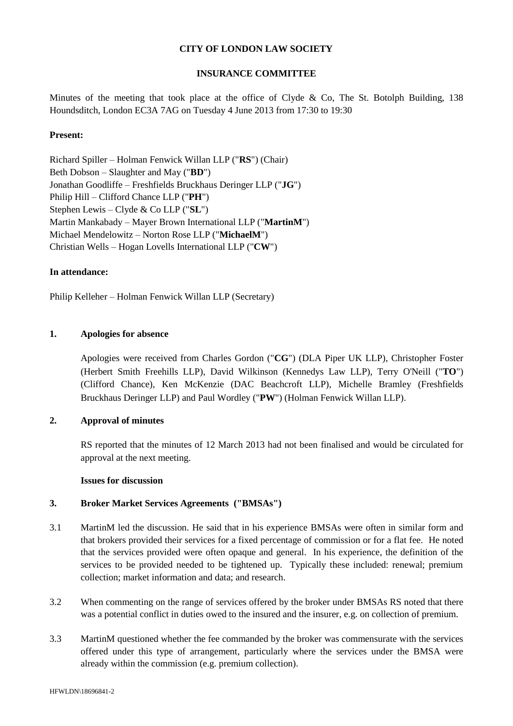## **CITY OF LONDON LAW SOCIETY**

## **INSURANCE COMMITTEE**

Minutes of the meeting that took place at the office of Clyde & Co, The St. Botolph Building,  $138$ Houndsditch, London EC3A 7AG on Tuesday 4 June 2013 from 17:30 to 19:30

## **Present:**

Richard Spiller – Holman Fenwick Willan LLP ("**RS**") (Chair) Beth Dobson – Slaughter and May ("**BD**") Jonathan Goodliffe – Freshfields Bruckhaus Deringer LLP ("**JG**") Philip Hill – Clifford Chance LLP ("**PH**") Stephen Lewis – Clyde & Co LLP ("**SL**") Martin Mankabady – Mayer Brown International LLP ("**MartinM**") Michael Mendelowitz – Norton Rose LLP ("**MichaelM**") Christian Wells – Hogan Lovells International LLP ("**CW**")

### **In attendance:**

Philip Kelleher – Holman Fenwick Willan LLP (Secretary)

## **1. Apologies for absence**

Apologies were received from Charles Gordon ("**CG**") (DLA Piper UK LLP), Christopher Foster (Herbert Smith Freehills LLP), David Wilkinson (Kennedys Law LLP), Terry O'Neill ("**TO**") (Clifford Chance), Ken McKenzie (DAC Beachcroft LLP), Michelle Bramley (Freshfields Bruckhaus Deringer LLP) and Paul Wordley ("**PW**") (Holman Fenwick Willan LLP).

# **2. Approval of minutes**

RS reported that the minutes of 12 March 2013 had not been finalised and would be circulated for approval at the next meeting.

### **Issues for discussion**

### **3. Broker Market Services Agreements ("BMSAs")**

- 3.1 MartinM led the discussion. He said that in his experience BMSAs were often in similar form and that brokers provided their services for a fixed percentage of commission or for a flat fee. He noted that the services provided were often opaque and general. In his experience, the definition of the services to be provided needed to be tightened up. Typically these included: renewal; premium collection; market information and data; and research.
- 3.2 When commenting on the range of services offered by the broker under BMSAs RS noted that there was a potential conflict in duties owed to the insured and the insurer, e.g. on collection of premium.
- 3.3 MartinM questioned whether the fee commanded by the broker was commensurate with the services offered under this type of arrangement, particularly where the services under the BMSA were already within the commission (e.g. premium collection).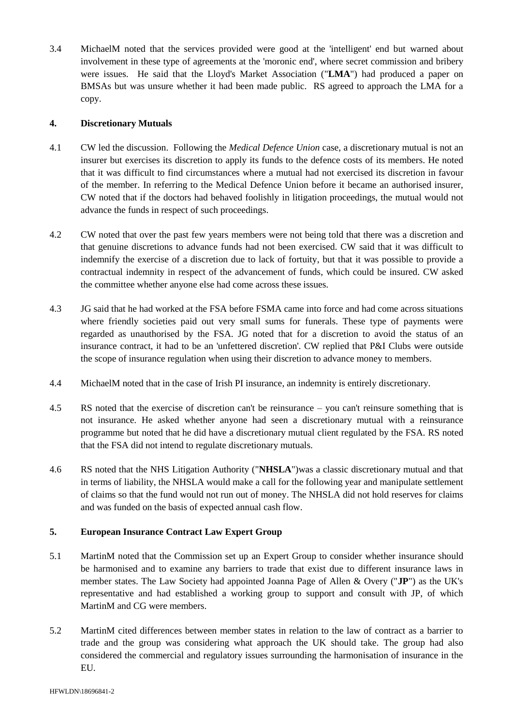3.4 MichaelM noted that the services provided were good at the 'intelligent' end but warned about involvement in these type of agreements at the 'moronic end', where secret commission and bribery were issues. He said that the Lloyd's Market Association ("**LMA**") had produced a paper on BMSAs but was unsure whether it had been made public. RS agreed to approach the LMA for a copy.

## **4. Discretionary Mutuals**

- 4.1 CW led the discussion. Following the *Medical Defence Union* case, a discretionary mutual is not an insurer but exercises its discretion to apply its funds to the defence costs of its members. He noted that it was difficult to find circumstances where a mutual had not exercised its discretion in favour of the member. In referring to the Medical Defence Union before it became an authorised insurer, CW noted that if the doctors had behaved foolishly in litigation proceedings, the mutual would not advance the funds in respect of such proceedings.
- 4.2 CW noted that over the past few years members were not being told that there was a discretion and that genuine discretions to advance funds had not been exercised. CW said that it was difficult to indemnify the exercise of a discretion due to lack of fortuity, but that it was possible to provide a contractual indemnity in respect of the advancement of funds, which could be insured. CW asked the committee whether anyone else had come across these issues.
- 4.3 JG said that he had worked at the FSA before FSMA came into force and had come across situations where friendly societies paid out very small sums for funerals. These type of payments were regarded as unauthorised by the FSA. JG noted that for a discretion to avoid the status of an insurance contract, it had to be an 'unfettered discretion'. CW replied that P&I Clubs were outside the scope of insurance regulation when using their discretion to advance money to members.
- 4.4 MichaelM noted that in the case of Irish PI insurance, an indemnity is entirely discretionary.
- 4.5 RS noted that the exercise of discretion can't be reinsurance you can't reinsure something that is not insurance. He asked whether anyone had seen a discretionary mutual with a reinsurance programme but noted that he did have a discretionary mutual client regulated by the FSA. RS noted that the FSA did not intend to regulate discretionary mutuals.
- 4.6 RS noted that the NHS Litigation Authority ("**NHSLA**")was a classic discretionary mutual and that in terms of liability, the NHSLA would make a call for the following year and manipulate settlement of claims so that the fund would not run out of money. The NHSLA did not hold reserves for claims and was funded on the basis of expected annual cash flow.

# **5. European Insurance Contract Law Expert Group**

- 5.1 MartinM noted that the Commission set up an Expert Group to consider whether insurance should be harmonised and to examine any barriers to trade that exist due to different insurance laws in member states. The Law Society had appointed Joanna Page of Allen & Overy ("**JP**") as the UK's representative and had established a working group to support and consult with JP, of which MartinM and CG were members.
- 5.2 MartinM cited differences between member states in relation to the law of contract as a barrier to trade and the group was considering what approach the UK should take. The group had also considered the commercial and regulatory issues surrounding the harmonisation of insurance in the EU.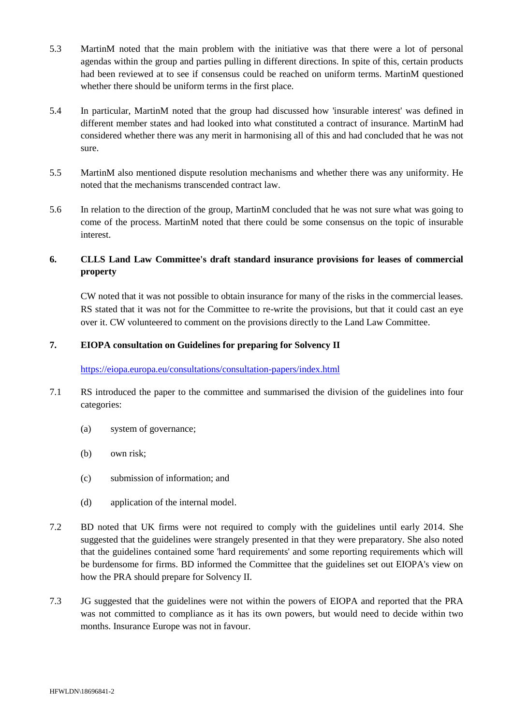- 5.3 MartinM noted that the main problem with the initiative was that there were a lot of personal agendas within the group and parties pulling in different directions. In spite of this, certain products had been reviewed at to see if consensus could be reached on uniform terms. MartinM questioned whether there should be uniform terms in the first place.
- 5.4 In particular, MartinM noted that the group had discussed how 'insurable interest' was defined in different member states and had looked into what constituted a contract of insurance. MartinM had considered whether there was any merit in harmonising all of this and had concluded that he was not sure.
- 5.5 MartinM also mentioned dispute resolution mechanisms and whether there was any uniformity. He noted that the mechanisms transcended contract law.
- 5.6 In relation to the direction of the group, MartinM concluded that he was not sure what was going to come of the process. MartinM noted that there could be some consensus on the topic of insurable interest.

# **6. CLLS Land Law Committee's draft standard insurance provisions for leases of commercial property**

CW noted that it was not possible to obtain insurance for many of the risks in the commercial leases. RS stated that it was not for the Committee to re-write the provisions, but that it could cast an eye over it. CW volunteered to comment on the provisions directly to the Land Law Committee.

# **7. EIOPA consultation on Guidelines for preparing for Solvency II**

### <https://eiopa.europa.eu/consultations/consultation-papers/index.html>

- 7.1 RS introduced the paper to the committee and summarised the division of the guidelines into four categories:
	- (a) system of governance;
	- (b) own risk;
	- (c) submission of information; and
	- (d) application of the internal model.
- 7.2 BD noted that UK firms were not required to comply with the guidelines until early 2014. She suggested that the guidelines were strangely presented in that they were preparatory. She also noted that the guidelines contained some 'hard requirements' and some reporting requirements which will be burdensome for firms. BD informed the Committee that the guidelines set out EIOPA's view on how the PRA should prepare for Solvency II.
- 7.3 JG suggested that the guidelines were not within the powers of EIOPA and reported that the PRA was not committed to compliance as it has its own powers, but would need to decide within two months. Insurance Europe was not in favour.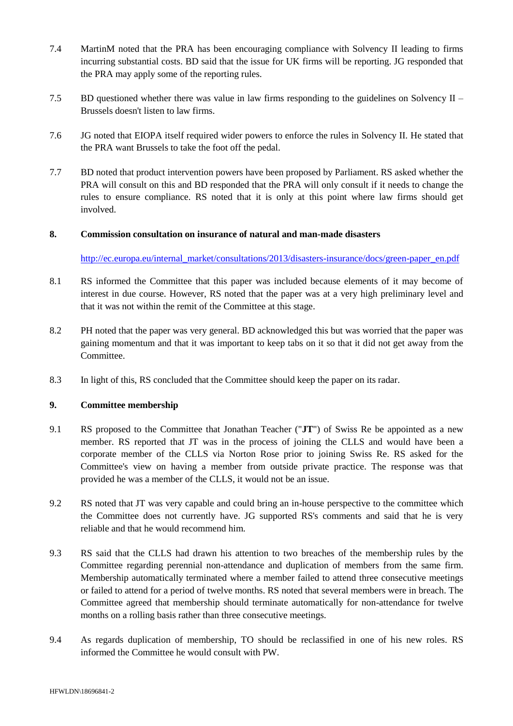- 7.4 MartinM noted that the PRA has been encouraging compliance with Solvency II leading to firms incurring substantial costs. BD said that the issue for UK firms will be reporting. JG responded that the PRA may apply some of the reporting rules.
- 7.5 BD questioned whether there was value in law firms responding to the guidelines on Solvency II Brussels doesn't listen to law firms.
- 7.6 JG noted that EIOPA itself required wider powers to enforce the rules in Solvency II. He stated that the PRA want Brussels to take the foot off the pedal.
- 7.7 BD noted that product intervention powers have been proposed by Parliament. RS asked whether the PRA will consult on this and BD responded that the PRA will only consult if it needs to change the rules to ensure compliance. RS noted that it is only at this point where law firms should get involved.

## **8. Commission consultation on insurance of natural and man-made disasters**

[http://ec.europa.eu/internal\\_market/consultations/2013/disasters-insurance/docs/green-paper\\_en.pdf](http://ec.europa.eu/internal_market/consultations/2013/disasters-insurance/docs/green-paper_en.pdf)

- 8.1 RS informed the Committee that this paper was included because elements of it may become of interest in due course. However, RS noted that the paper was at a very high preliminary level and that it was not within the remit of the Committee at this stage.
- 8.2 PH noted that the paper was very general. BD acknowledged this but was worried that the paper was gaining momentum and that it was important to keep tabs on it so that it did not get away from the Committee.
- 8.3 In light of this, RS concluded that the Committee should keep the paper on its radar.

### **9. Committee membership**

- 9.1 RS proposed to the Committee that Jonathan Teacher ("**JT**") of Swiss Re be appointed as a new member. RS reported that JT was in the process of joining the CLLS and would have been a corporate member of the CLLS via Norton Rose prior to joining Swiss Re. RS asked for the Committee's view on having a member from outside private practice. The response was that provided he was a member of the CLLS, it would not be an issue.
- 9.2 RS noted that JT was very capable and could bring an in-house perspective to the committee which the Committee does not currently have. JG supported RS's comments and said that he is very reliable and that he would recommend him.
- 9.3 RS said that the CLLS had drawn his attention to two breaches of the membership rules by the Committee regarding perennial non-attendance and duplication of members from the same firm. Membership automatically terminated where a member failed to attend three consecutive meetings or failed to attend for a period of twelve months. RS noted that several members were in breach. The Committee agreed that membership should terminate automatically for non-attendance for twelve months on a rolling basis rather than three consecutive meetings.
- 9.4 As regards duplication of membership, TO should be reclassified in one of his new roles. RS informed the Committee he would consult with PW.